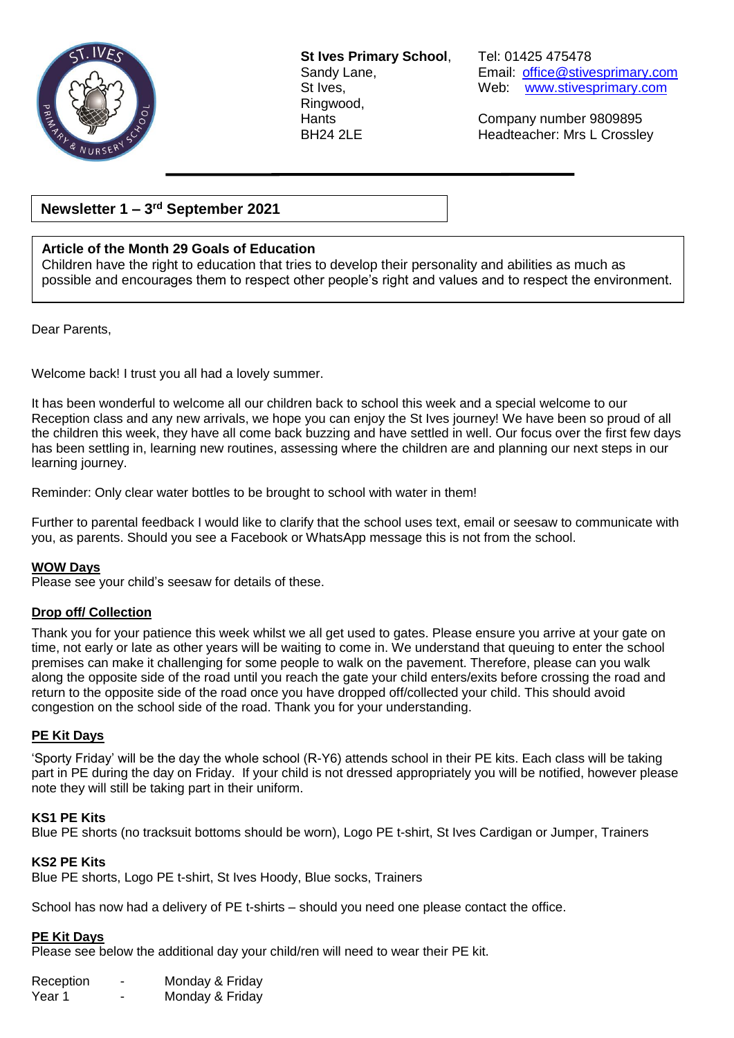

**St Ives Primary School**, Tel: 01425 475478 Ringwood,

Sandy Lane, **Email:** [office@stivesprimary.com](mailto:office@stivesprimary.com) St Ives, Web: [www.stivesprimary.com](http://www.stives.dorset.sch.uk/)

Hants Company number 9809895 Headteacher: Mrs L Crossley

## **Newsletter 1 – 3 rd September 2021**

## **Article of the Month 29 Goals of Education**

Children have the right to education that tries to develop their personality and abilities as much as possible and encourages them to respect other people's right and values and to respect the environment.

Dear Parents,

Welcome back! I trust you all had a lovely summer.

It has been wonderful to welcome all our children back to school this week and a special welcome to our Reception class and any new arrivals, we hope you can enjoy the St Ives journey! We have been so proud of all the children this week, they have all come back buzzing and have settled in well. Our focus over the first few days has been settling in, learning new routines, assessing where the children are and planning our next steps in our learning journey.

Reminder: Only clear water bottles to be brought to school with water in them!

Further to parental feedback I would like to clarify that the school uses text, email or seesaw to communicate with you, as parents. Should you see a Facebook or WhatsApp message this is not from the school.

#### **WOW Days**

Please see your child's seesaw for details of these.

#### **Drop off/ Collection**

Thank you for your patience this week whilst we all get used to gates. Please ensure you arrive at your gate on time, not early or late as other years will be waiting to come in. We understand that queuing to enter the school premises can make it challenging for some people to walk on the pavement. Therefore, please can you walk along the opposite side of the road until you reach the gate your child enters/exits before crossing the road and return to the opposite side of the road once you have dropped off/collected your child. This should avoid congestion on the school side of the road. Thank you for your understanding.

#### **PE Kit Days**

'Sporty Friday' will be the day the whole school (R-Y6) attends school in their PE kits. Each class will be taking part in PE during the day on Friday. If your child is not dressed appropriately you will be notified, however please note they will still be taking part in their uniform.

#### **KS1 PE Kits**

Blue PE shorts (no tracksuit bottoms should be worn), Logo PE t-shirt, St Ives Cardigan or Jumper, Trainers

#### **KS2 PE Kits**

Blue PE shorts, Logo PE t-shirt, St Ives Hoody, Blue socks, Trainers

School has now had a delivery of PE t-shirts – should you need one please contact the office.

#### **PE Kit Days**

Please see below the additional day your child/ren will need to wear their PE kit.

| Reception | - | Monday & Friday |
|-----------|---|-----------------|
| Year 1    |   | Monday & Friday |